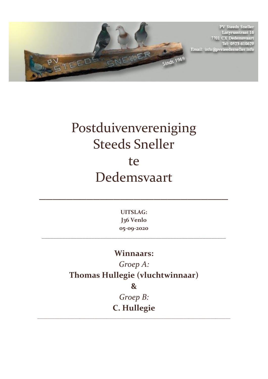

**PV Steeds Sneller** Latyrusstraat 16<br>7701 CX Dedemsvaart Tel: 0523-610629 Email: info@pvsteedssneller.info

## Postduivenvereniging Steeds Sneller te Dedemsvaart

**UITSLAG: J36 Venlo 05-09-2020**

\_\_\_\_\_\_\_\_\_\_\_\_\_\_\_\_\_\_\_\_\_\_\_\_\_\_\_\_\_\_\_\_\_\_\_\_\_\_\_\_\_\_\_\_\_\_\_\_\_\_\_\_\_\_\_\_\_\_\_\_\_\_\_

 $\mathcal{L}=\mathcal{L}^{\mathcal{L}}$  , where  $\mathcal{L}=\mathcal{L}^{\mathcal{L}}$  , where  $\mathcal{L}^{\mathcal{L}}$  , we have  $\mathcal{L}^{\mathcal{L}}$ 

## **Winnaars:**

*Groep A:* **Thomas Hullegie (vluchtwinnaar) &** 

> *Groep B:*  **C. Hullegie**

\_\_\_\_\_\_\_\_\_\_\_\_\_\_\_\_\_\_\_\_\_\_\_\_\_\_\_\_\_\_\_\_\_\_\_\_\_\_\_\_\_\_\_\_\_\_\_\_\_\_\_\_\_\_\_\_\_\_\_\_\_\_\_\_\_\_\_\_\_\_\_\_\_\_\_\_\_\_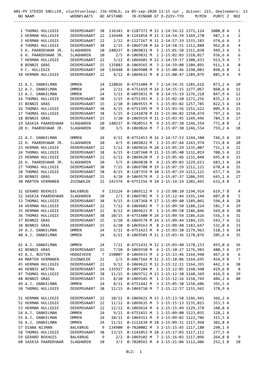| A01-PV STEEDS SNELLER, vluchtverloop: J36-VENLO, za 05-sep-2020 13:15 uur , duiven: 215, deelnemers: 13 |                 |                |            |                                                |  |                                    |       |                         |                |  |
|---------------------------------------------------------------------------------------------------------|-----------------|----------------|------------|------------------------------------------------|--|------------------------------------|-------|-------------------------|----------------|--|
| NO NAAM                                                                                                 | WOONPLAATS      |                | AD AFSTAND |                                                |  | JR-RINGNR GT D-ZUIV-TYD            | M/MIN | PUNTC Z NOZ             |                |  |
|                                                                                                         |                 |                |            |                                                |  |                                    |       | ----------------------- |                |  |
| 1 THOMAS HULLEGIE                                                                                       | DEDEMSVAART     |                |            | 38 136343  0-1187372  M 12 2-14:54:22 1372,124 |  |                                    |       | 1000,0 A                | 1              |  |
| 2 HERMAN HULLEGIE                                                                                       | DEDEMSVAART     | 22             | 136448     |                                                |  | 0-1141054 M 15 2-14:54:39 1369,270 |       | 987,3 A                 | 2              |  |
| 3 HERMAN HULLEGIE                                                                                       | DEDEMSVAART     | 22             | 2/12       |                                                |  | 0-1127267 M 11 2-14:57:19 1333,583 |       | 974,6 A                 | 3              |  |
| 4 THOMAS HULLEGIE                                                                                       | DEDEMSVAART     | 38             | 2/15       |                                                |  | 0-1069720 M 16 2-14:58:51 1312,888 |       | 962,0 A                 | 4              |  |
| 5 H. PAARDEHAAR JR.                                                                                     | SLAGHAREN       | 10             | 140237     |                                                |  | 0-1069831 M 5 2-15:01:58 1311,038  |       | 949,3 A                 | 5              |  |
| 6 H. PAARDEHAAR JR.                                                                                     | SLAGHAREN       | 10             | 2/5        |                                                |  | 0-1069832 M 2 2-15:02:03 1310,017  |       | 936,6 A                 | 6              |  |
| 7 HERMAN HULLEGIE                                                                                       | DEDEMSVAART     | 22             | 3/12       |                                                |  | 0-1069601 M 22 2-14:59:17 1308,433 |       | 923,9 A                 | 7              |  |
| 8 BENNIE GRAS                                                                                           | DEDEMSVAART     | 15             | 135883     |                                                |  | 0-1069565 M 3 2-14:59:08 1304,891  |       | 911,3 A                 | 8              |  |
| 9 C. HULLEGIE                                                                                           | DEDEMSVAART     | 10             | 136448     |                                                |  | 0-1069908 M 9 2-15:00:46 1290,083  |       | 898,6 B                 | 1              |  |
| 10 HERMAN HULLEGIE                                                                                      | DEDEMSVAART     | 22             | 4/12       |                                                |  | 0-1069632 M 8 2-15:00:47 1289,879  |       | 885,9 A                 | 9              |  |
| 11 A.J. DANKELMAN                                                                                       | OMMEN           | 24             | 128026     |                                                |  | 0-4751404 M 7 2-14:54:35 1285,616  |       | 873,2 A                 | 10             |  |
| 12 A.J. DANKELMAN                                                                                       | <b>OMMEN</b>    | 24             | 2/11       |                                                |  | 0-4751419 M 14 2-14:55:15 1277,067 |       | 860,6 A                 | 11             |  |
| 13 A.J. DANKELMAN                                                                                       | OMMEN           | 24             | 3/11       |                                                |  | 0-6093831 M 8 2-14:55:19 1276,218  |       | 847,9 A                 | 12             |  |
| 14 THOMAS HULLEGIE                                                                                      | DEDEMSVAART     | 38             | 3/15       |                                                |  | 0-4751393 M 2 2-15:02:10 1272,256  |       | 835,2 A                 | 13             |  |
| 15 BENNIE GRAS                                                                                          | DEDEMSVAART     | 15             | 2/10       |                                                |  | 0-1069555 M 5 2-15:03:02 1257,785  |       | 822,5 A                 | 14             |  |
| 16 THOMAS HULLEGIE                                                                                      | DEDEMSVAART     | 38             | 4/15       |                                                |  | 0-4751395 M 9 2-15:03:56 1251,622  |       | 809,9 A                 | 15             |  |
| 17 THOMAS HULLEGIE                                                                                      | DEDEMSVAART     | 38             | 5/15       |                                                |  | 0-1141070 M 31 2-15:04:02 1250,474 |       | 797,2 A                 | 16             |  |
| 18 BENNIE GRAS                                                                                          | DEDEMSVAART     | 15             | 3/10       |                                                |  | 0-1069559 M 11 2-15:03:45 1249,496 |       | 784,5 A                 | 17             |  |
| 19 SASKIA PAARDEHAAR                                                                                    | SLAGHAREN       | 10             | 140237     |                                                |  | 0-7020551 M 9 2-15:07:30 1246,554  |       | 771,8 B                 | 2              |  |
| 20 H. PAARDEHAAR JR.                                                                                    | SLAGHAREN       | 10             | 3/5        |                                                |  | 0-1069824 M 7 2-15:07:30 1246,554  |       | 759,2 A                 | 18             |  |
| 21 A.J. DANKELMAN                                                                                       | <b>OMMEN</b>    | 24             | 4/11       |                                                |  | 0-4751453 M 16 2-14:57:53 1244,380 |       | 746,5 A                 | 19             |  |
| 22 H. PAARDEHAAR JR.                                                                                    | SLAGHAREN       | 10             | 4/5        |                                                |  | 0-1069822 M 1 2-15:07:44 1243,974  |       | 733,8 A                 | 20             |  |
| 23 HERMAN HULLEGIE                                                                                      | DEDEMSVAART     | 22             | 5/12       |                                                |  | 0-1069616 M 20 2-15:05:29 1235,007 |       | 721,1 A                 | 21             |  |
| 24 THOMAS HULLEGIE                                                                                      | DEDEMSVAART     | 38             | 6/15       |                                                |  | 0-1187360 M 11 2-15:05:40 1232,019 |       | 708,5 A                 | 22             |  |
| 25 HERMAN HULLEGIE                                                                                      | DEDEMSVAART     | 22             | 6/12       |                                                |  | 0-1069620 M 3 2-15:05:46 1231,848  |       | 695,8 A                 | 23             |  |
| 26 H. PAARDEHAAR JR.                                                                                    | SLAGHAREN       | 10             | 5/5        |                                                |  | 0-1069838 M 4 2-15:09:03 1229,613  |       | 683,1 A                 | 24             |  |
| 27 THOMAS HULLEGIE                                                                                      | DEDEMSVAART     | 38             | 7/15       |                                                |  | 0-1069708 M 19 2-15:07:29 1212,121 |       | 670,4 A                 | 25             |  |
| 28 THOMAS HULLEGIE                                                                                      | DEDEMSVAART     | 38             | 8/15       |                                                |  | 0-1187359 M 38 2-15:07:29 1212,121 |       | 657,7 A                 | 26             |  |
| 29 BENNIE GRAS                                                                                          | DEDEMSVAART     | 15             | 4/10       |                                                |  | 0-1069574 M 2 2-15:07:37 1206,595  |       | 645,1 A                 | 27             |  |
| <b>30 MARTEN VERMANEN</b>                                                                               | ZUIDWOLDE       | 21             |            | 143374 0-4751556 M 10 2-15:14:14 1202,465      |  |                                    |       | 632,4 B                 | 3              |  |
| 31 GERARD BEKHUIS                                                                                       | BALKBRUG        | 9              |            | 135224  0-1069112  M  5 2-15:08:10 1194,914    |  |                                    |       | 619,7 B                 | 4              |  |
| 32 SASKIA PAARDEHAAR                                                                                    | SLAGHAREN       | 10             |            | 2/3 0-1069702 M 5 2-15:12:44 1191,144          |  |                                    |       | 607,0 B                 | 5              |  |
| 33 THOMAS HULLEGIE                                                                                      | DEDEMSVAART     | 38             | 9/15       |                                                |  | 0-1187368 M 17 2-15:09:40 1189,041 |       | 594,4 A                 | 28             |  |
| 34 HERMAN HULLEGIE                                                                                      | DEDEMSVAART     | 22             | 7/12       |                                                |  | 0-1069602 M 7 2-15:09:50 1188,224  |       | 581,7 A                 | 29             |  |
| 35 HERMAN HULLEGIE                                                                                      | DEDEMSVAART     | 22             | 8/12       |                                                |  | 0-1069623 M 1 2-15:09:58 1186,846  |       | 569,0 A                 | 30             |  |
| 36 THOMAS HULLEGIE                                                                                      | DEDEMSVAART     | 38             |            | 10/15  0-4751400  M  24  2-15:09:54  1186,626  |  |                                    |       | 556,3 A                 | 31             |  |
| 37 BENNIE GRAS                                                                                          | DEDEMSVAART     | 15             |            | 5/10 0-1069578 M 14 2-15:09:44 1184,335        |  |                                    |       | 543,7 A                 | 32             |  |
| 38 BENNIE GRAS                                                                                          | DEDEMSVAART     | 15             |            | 6/10 0-1069563 M 8 2-15:09:48 1183,647         |  |                                    |       | 531,0 A                 | 33             |  |
| 39 A.J. DANKELMAN                                                                                       | OMMEN           | 24             |            | 5/11 0-4751423 M 4 2-15:03:30 1179,963         |  |                                    |       | 518, 3A                 | 34             |  |
| 40 A.J. DANKELMAN                                                                                       | OMMEN           | 24             | 6/11       |                                                |  | 0-1069501 M 11 2-15:03:36 1178,876 |       | 505,6 A                 | 35             |  |
| 41 A.J. DANKELMAN                                                                                       | OMMEN           | 24             | 7/11       |                                                |  | 0-4751431 M 12 2-15:03:40 1178,153 |       | 493,0 A                 | 36             |  |
| 42 BENNIE GRAS                                                                                          | DEDEMSVAART     | 15             | 7/10       |                                                |  | 0-1069550 M 6 2-15:10:27 1176,983  |       | 480,3 A                 | 37             |  |
| 43 A.J. BUITEN                                                                                          | HOOGEVEEN       | $\overline{7}$ | 150007     |                                                |  | 0-1069433 M 2 2-15:23:46 1164,948  |       | 467,6 B                 | 6              |  |
| 44 MARTEN VERMANEN                                                                                      | ZUIDWOLDE       | 21             | 2/5        |                                                |  | 0-6067166 M 11 2-15:18:06 1164,695 |       | 454,9 B                 | $\overline{7}$ |  |
| 45 HERMAN HULLEGIE                                                                                      | DEDEMSVAART     | 22             | 9/12       |                                                |  | 0-1069622 M 12 2-15:12:11 1164,395 |       | 442,3 A                 | 38             |  |
| 46 HENNIE WESTRA                                                                                        | DEDEMSVAART     | 14             | 135927     |                                                |  | 0-1097284 M 1 2-15:12:05 1160,940  |       | 429,6 B                 | - 8            |  |
| 47 THOMAS HULLEGIE                                                                                      | DEDEMSVAART     | 38             |            | 11/15 0-1069712 M 13 2-15:12:30 1160,369       |  |                                    |       | 416,9 A                 | 39             |  |
| 48 BENNIE GRAS                                                                                          | DEDEMSVAART     | 15             |            | 8/10 0-1069545 M 1 2-15:12:16 1158,749         |  |                                    |       | 404,2 A                 | 40             |  |
| 49 A.J. DANKELMAN                                                                                       | OMMEN           | 24             | 8/11       |                                                |  | 0-4751442 M 3 2-15:05:30 1158,606  |       | 391,5 A                 |                |  |
| 50 THOMAS HULLEGIE                                                                                      | DEDEMSVAART     | 38             | 12/15      |                                                |  | 0-1069710 M 7 2-15:12:57 1155,942  |       | 378,9 A                 |                |  |
| 51 HERMAN HULLEGIE                                                                                      | DEDEMSVAART     | 22             |            | 10/12  0-1069621  M 13  2-15:13:58  1146,941   |  |                                    |       | 366,2 A                 |                |  |
| 52 HERMAN HULLEGIE                                                                                      | DEDEMSVAART     | 22             |            | 11/12  0-1069635  M  5  2-15:15:13  1135,015   |  |                                    |       | 353,5 A                 |                |  |
| 53 HERMAN HULLEGIE                                                                                      | DEDEMSVAART     | 22             | 12/12      |                                                |  | 0-1069614 M 6 2-15:15:49 1129,378  |       | 340,8 A                 |                |  |
| 54 A.J. DANKELMAN                                                                                       | OMMEN           | 24             | 9/11       |                                                |  | 0-4751415 M 1 2-15:09:00 1123,035  |       | 328,2 A                 |                |  |
| 55 A.J. DANKELMAN                                                                                       | OMMEN           | 24             | 10/11      |                                                |  | 0-1069311 M 9 2-15:09:02 1122,706  |       | 315,5 A                 |                |  |
| 56 A.J. DANKELMAN                                                                                       | OMMEN           | 24             |            | 11/11  0-1112634  M  18  2-15:09:31  1117,968  |  |                                    |       | 302,8 A                 |                |  |
| 57 DIANA NIJMAN                                                                                         | BALKBRUG        | 9              | 134900     |                                                |  | 0-7020002 M 3 2-15:15:45 1117,180  |       | 290,1 A                 |                |  |
| 58 THOMAS HULLEGIE                                                                                      | DEDEMSVAART     | 38             | 13/15      |                                                |  | 0-1141053 M 28 2-15:17:03 1117,111 |       | 277,5 A                 |                |  |
| 59 GERARD BEKHUIS                                                                                       | <b>BALKBRUG</b> | 9              | 2/2        |                                                |  | 0-1069102 M 7 2-15:16:03 1117,096  |       | 264,8 B                 | 9              |  |
| 60 SASKIA PAARDEHAAR                                                                                    | SLAGHAREN       | 10             | 3/3        |                                                |  | 0-7020565 M 4 2-15:21:04 1112,406  |       | 252,1B                  | 10             |  |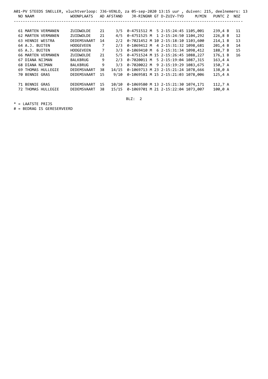| A01-PV STEEDS SNELLER, vluchtverloop: J36-VENLO, za |                  |    |            |                                            |  |                         |       | 05-sep-2020 13:15 uur, duiven: 215, deelnemers: 13 |    |
|-----------------------------------------------------|------------------|----|------------|--------------------------------------------|--|-------------------------|-------|----------------------------------------------------|----|
| NO NAAM                                             | WOONPLAATS       |    | AD AFSTAND |                                            |  | JR-RINGNR GT D-ZUIV-TYD | M/MIN | PUNTC Z NOZ                                        |    |
|                                                     |                  |    |            |                                            |  |                         |       |                                                    |    |
| 61 MARTEN VERMANEN                                  | ZUIDWOLDE        | 21 |            | 3/5 0-4751512 M 5 2-15:24:45 1105,001      |  |                         |       | 239,4B                                             | 11 |
| 62 MARTEN VERMANEN                                  | ZUIDWOLDE        | 21 |            | 4/5 0-4751525 M 1 2-15:24:50 1104,292      |  |                         |       | 226, 8B                                            | 12 |
| 63 HENNIE WESTRA                                    | DEDEMSVAART      | 14 |            | 2/2 0-7021452 M 10 2-15:18:10 1103,600     |  |                         |       | 214,1 B                                            | 13 |
| 64 A.J. BUITEN                                      | <b>HOOGEVEEN</b> | 7  | 2/3        | 0-1069412 M 4 2-15:31:32 1098,681          |  |                         |       | 201,4 B                                            | 14 |
| 65 A.J. BUITEN                                      | <b>HOOGEVEEN</b> | 7  | 3/3        | 0-1069410 M 6 2-15:31:34 1098,412          |  |                         |       | 188,7 B                                            | 15 |
| <b>66 MARTEN VERMANEN</b>                           | ZUIDWOLDE        | 21 |            | 5/5 0-4751524 M 15 2-15:26:45 1088,227     |  |                         |       | 176.1 B                                            | 16 |
| 67 DIANA NIJMAN                                     | <b>BALKBRUG</b>  | 9  | 2/3        | 0-7020011 M 5 2-15:19:04 1087,315          |  |                         |       | $163, 4$ A                                         |    |
| 68 DIANA NIJMAN                                     | <b>BALKBRUG</b>  | 9  | 3/3        | 0-7020022 M 9 2-15:19:29 1083.675          |  |                         |       | 150,7 A                                            |    |
| 69 THOMAS HULLEGIE                                  | DEDEMSVAART      | 38 |            | 14/15  0-1069713  M 23 2-15:21:24 1078,666 |  |                         |       | 138,0 A                                            |    |
| <b>70 BENNIE GRAS</b>                               | DEDEMSVAART      | 15 |            | 9/10 0-1069581 M 15 2-15:21:03 1078,006    |  |                         |       | $125, 4$ A                                         |    |
| 71 BENNIE GRAS                                      | DEDEMSVAART      | 15 | 10/10      | 0-1069580 M 13 2-15:21:30 1074,171         |  |                         |       | 112,7 A                                            |    |
| 72 THOMAS HULLEGIE                                  | DEDEMSVAART      | 38 | 15/15      | 0-1069701 M 21 2-15:22:04 1073,007         |  |                         |       | 100,0 A                                            |    |
|                                                     |                  |    |            |                                            |  |                         |       |                                                    |    |

BLZ: 2

\* = LAATSTE PRIJS

# = BEDRAG IS GERESERVEERD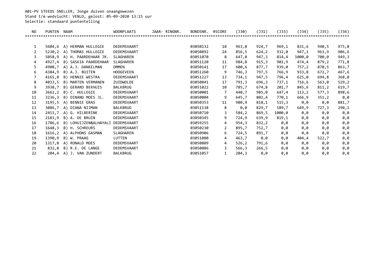A01-PV STEEDS SNELLER, Jonge duiven onaangewezen Stand t/m wedvlucht: VENLO, gelost: 05-09-2020 13:15 uur Selectie: standaard puntentelling

| NO. | <b>PUNTEN</b> | <b>NAAM</b>           | <b>WOONPLAATS</b>            | JAAR- RINGNR. | BONDSNR.            | #SCORE | (J30) | $($ J 31) | (J33)  | (J34)  | $($ J35) | (J36) |
|-----|---------------|-----------------------|------------------------------|---------------|---------------------|--------|-------|-----------|--------|--------|----------|-------|
|     |               |                       | **************************** |               | ******************* |        |       |           |        |        |          |       |
|     |               |                       |                              |               |                     |        |       |           |        |        |          |       |
| 1   | 5604,6        | A) HERMAN HULLEGIE    | DEDEMSVAART                  |               | 03050132            | 18     | 963,0 | 924,7     | 969,1  | 831,6  | 940,5    | 975,8 |
| 2   | 5230,2        | A) THOMAS HULLEGIE    | DEDEMSVAART                  |               | 03050892            | 24     | 856,5 | 624,2     | 932,0  | 947,1  | 963,9    | 906,6 |
| 3   | 5058,9        | A) H. PAARDEHAAR JR.  | SLAGHAREN                    |               | 03051070            | 8      | 647,8 | 947,3     | 814,4  | 1000,0 | 700,0    | 949,3 |
| 4   | 4927,4        | B) SASKIA PAARDEHAAR  | SLAGHAREN                    |               | 03051120            | 11     | 984,8 | 915,3     | 901,9  | 474,4  | 879,2    | 771,8 |
| 5   | 4908,7        | A) A.J. DANKELMAN     | <b>OMMEN</b>                 |               | 03050141            | 17     | 600,6 | 877,7     | 939,0  | 757,2  | 870,5    | 863,7 |
| 6   | 4384,9        | B) A.J. BUITEN        | <b>HOOGEVEEN</b>             |               | 03051260            | 9      | 746,3 | 797,5     | 766,9  | 933,8  | 672,7    | 467,6 |
|     | 4165,8        | B) HENNIE WESTRA      | DEDEMSVAART                  |               | 03051227            | 13     | 734,1 | 947,5     | 796,4  | 625,0  | 694,8    | 368,0 |
| 8   | 4033,5        | B) MARTEN VERMANEN    | ZUIDWOLDE                    |               | 03050841            | 17     | 791,3 | 696,3     | 737,1  | 716,6  | 563,0    | 529,2 |
| 9   | 3938,7        | B) GERARD BEKHUIS     | <b>BALKBRUG</b>              |               | 03051022            | 10     | 785,7 | 674,8     | 201,7  | 845,6  | 811,2    | 619,7 |
| 10  | 3662,2        | B) C. HULLEGIE        | DEDEMSVAART                  |               | 03050001            | 7      | 440,7 | 985,0     | 647,4  | 113,2  | 577,3    | 898,6 |
| 11  | 3236,3        | B) DINAND MOES JL.    | DEDEMSVAART                  |               | 03050004            | 9      | 645,7 | 802,4     | 770,1  | 666,9  | 351,2    | 0,0   |
| 12  | 3195,5        | A) BENNIE GRAS        | DEDEMSVAART                  |               | 03050353            | 11     | 980,4 | 818,1     | 515,3  | 0,0    | 0,0      | 881,7 |
| 13  | 3086,7        | A) DIANA NIJMAN       | <b>BALKBRUG</b>              |               | 03051138            | 8      | 0,0   | 829,7     | 589,7  | 649,9  | 727,3    | 290,1 |
| 14  | 2453,7        | A) G. HILBERINK       | DEDEMSVAART                  |               | 03050710            | 3      | 584,2 | 869,5     | 1000,0 | 0,0    | 0,0      | 0,0   |
| 15  | 2183,9        | B) A. DE BRUIN        | DEDEMSVAART                  |               | 03050345            | 9      | 724,9 | 639,9     | 819,1  | 0,0    | 0,0      | 0,0   |
| 16  | 1786,6        | B) LOHUIJZEN&ALHAYALI | DEDEMSVAART                  |               | 03059255            | 4      | 954,3 | 832,2     | 0,0    | 0,0    | 0,0      | 0,0   |
| 17  | 1648,3        | B) H. SCHREURS        | DEDEMSVAART                  |               | 03050230            | 2      | 895,7 | 752,7     | 0,0    | 0,0    | 0,0      | 0,0   |
| 18  | 1616,2        | A) ALPHONS GASMAN     | SLAGHAREN                    |               | 03050906            | 6      | 724,5 | 891,7     | 0,0    | 0,0    | 0,0      | 0,0   |
| 19  | 1390,9        | B) W. PRAAG           | LUTTEN                       |               | 03051080            | 4      | 463,7 | 0,0       | 0,0    | 404,4  | 522,7    | 0,0   |
| 20  | 1317,8        | A) RONALD MOES        | DEDEMSVAART                  |               | 03050809            | 4      | 526,2 | 791,6     | 0,0    | 0,0    | 0,0      | 0,0   |
| 21  | 832,8         | B) R.E. DE LANGE      | DEDEMSVAART                  |               | 03050086            | 3      | 566,3 | 266,5     | 0,0    | 0,0    | 0,0      | 0,0   |
| 22  | 204,4         | A) J. VAN ZUNDERT     | <b>BALKBRUG</b>              |               | 03051057            |        | 204,3 | 0,0       | 0,0    | 0,0    | 0,0      | 0,0   |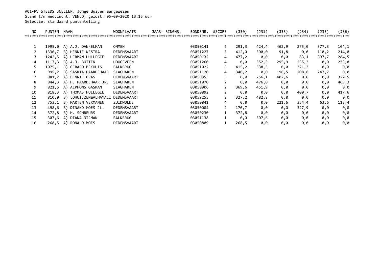A01-PV STEEDS SNELLER, Jonge duiven aangewezen Stand t/m wedvlucht: VENLO, gelost: 05-09-2020 13:15 uur Selectie: standaard puntentelling

| NO | <b>PUNTEN</b> | <b>NAAM</b>           | <b>WOONPLAATS</b> | JAAR- RINGNR. | BONDSNR. | #SCORE         | (J30)  | (J31) | (J33) | (J34) | (J35)  | (J36) |
|----|---------------|-----------------------|-------------------|---------------|----------|----------------|--------|-------|-------|-------|--------|-------|
|    |               |                       |                   |               |          |                |        |       |       |       |        | ****  |
|    |               |                       |                   |               |          |                |        |       |       |       |        |       |
|    | 1995.0        | A) A.J. DANKELMAN     | OMMEN             |               | 03050141 | 6              | 291,3  | 424,4 | 462,9 | 275,0 | 377,3  | 164,1 |
|    | 1336,7        | B) HENNIE WESTRA      | DEDEMSVAART       |               | 03051227 | 5              | 412,0  | 500,0 | 91,8  | 0,0   | 118, 2 | 214,8 |
|    | 1242,5        | A) HERMAN HULLEGIE    | DEDEMSVAART       |               | 03050132 | 4              | 477,2  | 0,0   | 0,0   | 83,1  | 397,7  | 284,5 |
| 4  | 1117.3        | B) A.J. BUITEN        | <b>HOOGEVEEN</b>  |               | 03051260 | 4              | 0,0    | 352,3 | 295,9 | 235,3 | 0,0    | 233,8 |
|    | 1075,1        | B) GERARD BEKHUIS     | BALKBRUG          |               | 03051022 | 3              | 415, 2 | 338,5 | 0,0   | 321,3 | 0,0    | 0,0   |
| 6  | 995,2         | B) SASKIA PAARDEHAAR  | SLAGHAREN         |               | 03051120 | 4              | 340,2  | 0,0   | 198,5 | 208,8 | 247,7  | 0,0   |
|    | 981,2         | A) BENNIE GRAS        | DEDEMSVAART       |               | 03050353 | 3              | 0,0    | 256,1 | 402,6 | 0,0   | 0,0    | 322,5 |
| 8  | 944.3         | A) H. PAARDEHAAR JR.  | SLAGHAREN         |               | 03051070 | $\mathbf{2}$   | 0,0    | 476,0 | 0,0   | 0,0   | 0,0    | 468,3 |
| 9  | 821,5         | A) ALPHONS GASMAN     | SLAGHAREN         |               | 03050906 | 2              | 369,6  | 451,9 | 0,0   | 0,0   | 0,0    | 0,0   |
| 10 | 818,3         | A) THOMAS HULLEGIE    | DEDEMSVAART       |               | 03050892 | $\overline{2}$ | 0,0    | 0,0   | 0,0   | 400,7 | 0,0    | 417,6 |
| 11 | 810,0         | B) LOHUIJZEN&ALHAYALI | DEDEMSVAART       |               | 03059255 | $\overline{2}$ | 327,2  | 482,8 | 0,0   | 0,0   | 0,0    | 0,0   |
| 12 | 753,1         | MARTEN VERMANEN<br>B) | ZUIDWOLDE         |               | 03050841 | 4              | 0,0    | 0,0   | 221,6 | 354,4 | 63,6   | 113,4 |
| 13 | 498,6         | B) DINAND MOES JL.    | DEDEMSVAART       |               | 03050004 | $\overline{2}$ | 170,7  | 0,0   | 0,0   | 327,9 | 0,0    | 0,0   |
| 14 | 372,8         | B) H. SCHREURS        | DEDEMSVAART       |               | 03050230 |                | 372,8  | 0,0   | 0,0   | 0,0   | 0,0    | 0,0   |
| 15 | 307,6         | A) DIANA NIJMAN       | <b>BALKBRUG</b>   |               | 03051138 |                | 0,0    | 307,6 | 0,0   | 0,0   | 0,0    | 0,0   |
| 16 | 268,5         | RONALD MOES<br>A)     | DEDEMSVAART       |               | 03050809 |                | 268,5  | 0,0   | 0,0   | 0,0   | 0,0    | 0,0   |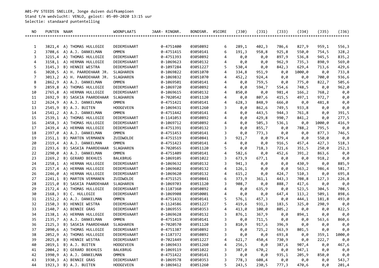A01-PV STEEDS SNELLER, Jonge duiven duifkampioen Stand t/m wedvlucht: VENLO, gelost: 05-09-2020 13:15 uur Selectie: standaard puntentelling

| NO.            | PUNTEN NAAM |                                                  | <b>WOONPLAATS</b>         | JAAR- RINGNR.          | BONDSNR.             | #SCORE | $($ 30)        | $($ J 31)    | $($ 33)        | $($ J 34)      | $($ J35)     | $($ J36)     |
|----------------|-------------|--------------------------------------------------|---------------------------|------------------------|----------------------|--------|----------------|--------------|----------------|----------------|--------------|--------------|
|                |             |                                                  |                           |                        |                      |        |                |              |                |                |              |              |
|                |             |                                                  |                           |                        |                      |        |                |              |                |                |              |              |
| 1              |             | 3821,4 A) THOMAS HULLEGIE                        | DEDEMSVAART               | 0-4751400              | 03050892             | 6      | 289,1          | 402,3        | 786,6          | 827,9          | 959,1        | 556,3        |
| 2              |             | 3708,6 A) A.J. DANKELMAN                         | <b>OMMEN</b>              | 0-4751415              | 03050141             | 6      | 191,3          | 958,8        | 925,8          | 550,0          | 754,5        | 328,2        |
| 3              |             | 3215,4 A) THOMAS HULLEGIE                        | DEDEMSVAART               | 0-4751393              | 03050892             | 4      | 0,0            | 0,0          | 897,9          | 536,8          | 945,5        | 835,2        |
| 4              |             | 3158,1 A) HERMAN HULLEGIE                        | DEDEMSVAART               | 0-1069623              | 03050132             | 4      | 0,0            | 0,0          | 962,9          | 735,3          | 890,9        | 569,0        |
| 5              | 3145,3      | B) HENNIE WESTRA                                 | DEDEMSVAART               | 0-1097284              | 03051227             | 5      | 530,4          | 0,0          | 842,3          | 629,4          | 713,6        | 429,6        |
| 6              |             | 3020,5 A) H. PAARDEHAAR JR.                      | SLAGHAREN                 | 0-1069822              | 03051070             | 4      | 334,8          | 951,9        | 0,0            | 1000,0         | 0,0          | 733,8        |
| $\overline{7}$ |             | 3013,2 A) H. PAARDEHAAR JR.                      | SLAGHAREN                 | 0-1069832              | 03051070             | 4      | 452,2          | 924,4        | 0,0            | 0,0            | 700,0        | 936,6        |
| 8              |             | 2862,9 A) A.J. DANKELMAN                         | <b>OMMEN</b>              | 0-1069501              | 03050141             | 4      | 0,0            | 759,5        | 0,0            | 775,0          | 822,7        | 505,6        |
| 9              | 2859,8      | A) THOMAS HULLEGIE                               | DEDEMSVAART               | 0-1069720              | 03050892             | 4      | 0,0            | 594,7        | 554,6          | 748,5          | 0,0          | 962,0        |
| 10             |             | 2765,8 A) HERMAN HULLEGIE                        | DEDEMSVAART               | 0-1069615              | 03050132             | 4      | 850,0          | 0,0          | 981,4          | 166,2          | 768,2        | 0,0          |
| 11             | 2692,9      | B) SASKIA PAARDEHAAR                             | SLAGHAREN                 | 0-7020542              | 03051120             | 4      | 0,0            | 807,6        | 415,5          | 497,1          | 972,7        | 0,0          |
| 12             | 2624,9      | A) A.J. DANKELMAN                                | <b>OMMEN</b>              | 0-4751421              | 03050141             | 4      | 628,3          | 848,9        | 666,0          | 0,0            | 481,8        | 0,0          |
| 13             | 2545,9      | B) A.J. BUITEN                                   | <b>HOOGEVEEN</b>          | 0-1069431              | 03051260             | 3      | 0,0            | 862,6        | 749,5          | 933,8          | 0,0          | 0,0          |
| 14             |             | 2541,2 A) A.J. DANKELMAN                         | <b>OMMEN</b>              | 0-4751442              | 03050141             | 4      | 0,0            | 443,5        | 944,3          | 761,8          | 0,0          | 391,5        |
| 15             |             | 2539,1 A) THOMAS HULLEGIE                        | DEDEMSVAART               | 0-1141053              | 03050892             | 4      | 0,0            | 429,8        | 990,7          | 841,2          | 0,0          | 277,5        |
| 16             |             | 2458,3 A) THOMAS HULLEGIE                        | DEDEMSVAART               | 0-1069712              | 03050892             | 4      | 0,0            | 505,3        | 536,1          | 0,0            | 1000,0       | 416,9        |
| 17             |             | 2439,4 A) HERMAN HULLEGIE                        | DEDEMSVAART               | 0-4751391              | 03050132             | 3      | 0,0            | 855,7        | 0,0            | 788,2          | 795,5        | 0,0          |
| 18             |             | 2397,0 A) A.J. DANKELMAN                         | <b>OMMEN</b>              | 0-4751453              | 03050141             | 3      | 0,0            | 773,3        | 0,0            | 0,0            | 877,3        | 746,5        |
| 19             | 2351,1      | B) MARTEN VERMANEN                               | ZUIDWOLDE                 | 0-4751519              | 03050841             | 3      | 921,7          | 0,0          | 879,4          | 0,0            | 550,0        | 0,0          |
| 20             |             | 2319,4 A) A.J. DANKELMAN                         | <b>OMMEN</b><br>SLAGHAREN | 0-4751423              | 03050141             | 4<br>5 | 0,0            | 0,0          | 916,5          | 457,4          | 427,3        | 518,3        |
| 21<br>22       | 2293,6      | B) SASKIA PAARDEHAAR<br>2290,0 A) A.J. DANKELMAN | <b>OMMEN</b>              | 0-7020565<br>0-4751409 | 03051120<br>03050141 | 4      | 0,0            | 718,3        | 721,6          | 351,5<br>391,2 | 250,0        | 252,1        |
| 23             |             | 2269,2 B) GERARD BEKHUIS                         | <b>BALKBRUG</b>           | 0-1069105              | 03051022             | 3      | 582,6<br>673,9 | 0,0          | 452,6          |                | 863,6        | 0,0          |
| 24             |             | 2258,1 A) HERMAN HULLEGIE                        | DEDEMSVAART               | 0-1069632              | 03050132             | 3      | 941,3          | 677,1<br>0,0 | 0,0<br>0,0     | 0,0<br>430,9   | 918,2<br>0,0 | 0,0<br>885,9 |
| 25             |             | 2257,4 A) HERMAN HULLEGIE                        | DEDEMSVAART               | 0-1069602              | 03050132             | 4      | 126,1          | 0,0          | 0,0            | 563,2          | 986,4        | 581,7        |
| 26             |             | 2246,0 A) HERMAN HULLEGIE                        | DEDEMSVAART               | 0-1069620              | 03050132             | 4      | 615, 2         | 0,0          | 424,7          | 510,3          | 0,0          | 695,8        |
| 27             | 2241,1      | B) MARTEN VERMANEN                               | ZUIDWOLDE                 | 0-4751525              | 03050841             | 6      | 373,9          |              |                | 708,8          |              |              |
| 28             | 2215,0      | B) SASKIA PAARDEHAAR                             | SLAGHAREN                 | 0-1069703              | 03051120             | 3      | 908,7          | 361,1<br>0,0 | 443,3<br>888,7 | 417,6          | 127,3<br>0,0 | 226,8<br>0,0 |
| 29             |             | 2172,4 A) THOMAS HULLEGIE                        | DEDEMSVAART               | 0-1187360              | 03050892             | 4      | 0,0            | 635,9        | 0,0            | 523,5          | 304,5        | 708,5        |
| 30             | 2168,3      | B) C. HULLEGIE                                   | DEDEMSVAART               | 0-1069908              | 03050001             | 4      | 0,0            | 0,0          | 647,4          | 113, 2         | 509,1        | 898,6        |
| 31             |             | 2152,2 A) A.J. DANKELMAN                         | <b>OMMEN</b>              | 0-4751431              | 03050141             | 5      | 576,1          | 457,3        | 0,0            | 444,1          | 181,8        | 493,0        |
| 32             | 2150,3      | B) HENNIE WESTRA                                 | DEDEMSVAART               | 0-1124586              | 03051227             | 5      | 419,6          | 931,3        | 183,5          | 325,0          | 290,9        | 0,0          |
| 33             |             | 2140,7 A) BENNIE GRAS                            | DEDEMSVAART               | 0-1069555              | 03050353             | 4      | 413,0          | 100,0        | 805,2          | 0,0            | 0,0          | 822,5        |
| 34             | 2138,1      | A) HERMAN HULLEGIE                               | DEDEMSVAART               | 0-1069628              | 03050132             | 3      | 876,1          | 367,9        | 0,0            | 894,1          | 0,0          | 0,0          |
| 35             | 2135,7      | A) A.J. DANKELMAN                                | <b>OMMEN</b>              | 0-4751419              | 03050141             | 3      | 0,0            | 711,5        | 0,0            | 0,0            | 563,6        | 860,6        |
| 36             | 2125,3      | B) SASKIA PAARDEHAAR                             | SLAGHAREN                 | 0-7020570              | 03051120             | 3      | 810,9          | 917,6        | 396,9          | 0,0            | 0,0          | 0,0          |
| 37             |             | 2090,6 A) THOMAS HULLEGIE                        | DEDEMSVAART               | 0-4751387              | 03050892             | 3      | 0,0            | 725,2        | 563,9          | 801,5          | 0,0          | 0,0          |
| 38             |             | 2052,9 A) THOMAS HULLEGIE                        | DEDEMSVAART               | 0-1187372              | 03050892             | 3      | 0,0            | 0,0          | 693,8          | 0,0            | 359,1        | 1000,0       |
| 39             |             | 2025,8 B) HENNIE WESTRA                          | DEDEMSVAART               | 0-7021449              | 03051227             | 4      | 621,7          | 450,4        | 730,9          | 0,0            | 222,7        | 0,0          |
| 40             |             | 2019,1 B) A.J. BUITEN                            | <b>HOOGEVEEN</b>          | 0-1069433              | 03051260             | 4      | 256,5          | 0,0          | 387,6          | 907,4          | 0,0          | 467,6        |
| 41             |             | 2004,2 B) GERARD BEKHUIS                         | BALKBRUG                  | 0-1069119              | 03051022             | 3      | 387,0          | 670,2        | 0,0            | 947,1          | 0,0          | 0,0          |
| 42             |             | 1990,9 A) A.J. DANKELMAN                         | <b>OMMEN</b>              | 0-4751422              | 03050141             | 3      | 0,0            | 0,0          | 935,1          | 205,9          | 850,0        | 0,0          |
| 43             |             | 1930,3 A) BENNIE GRAS                            | DEDEMSVAART               | 0-1069578              | 03050353             | 3      | 778,3          | 608,4        | 0,0            | 0,0            | 0,0          | 543,7        |
| 44             |             | 1923,3 B) A.J. BUITEN                            | <b>HOOGEVEEN</b>          | 0-1069412              | 03051260             | 5      | 243,5          | 230,5        | 777,3          | 470,6          | 0,0          | 201,4        |
|                |             |                                                  |                           |                        |                      |        |                |              |                |                |              |              |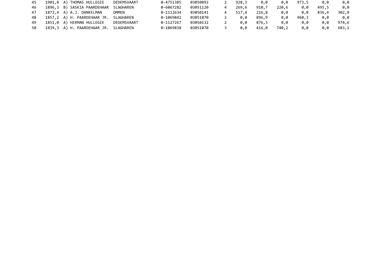| 45 | 1901,8 A) THOMAS HULLEGIE             | DEDEMSVAART | 0-4751385 | 03050892 | 928.3 | 0.0   | 0.0   | 973,5 | 0.0   | 0.0   |
|----|---------------------------------------|-------------|-----------|----------|-------|-------|-------|-------|-------|-------|
| 46 | 1896,3 B) SASKIA PAARDEHAAR SLAGHAREN |             | 0-6067282 | 03051120 | 269.6 | 910.7 | 220,6 | 0.0   | 495.5 | 0.0   |
| 47 | 1873,4 A) A.J. DANKELMAN              | OMMEN       | 0-1112634 | 03050141 | 517.4 | 216,8 | 0.0   | 0.0   | 836,4 | 302,8 |
| 48 | 1857,2 A) H. PAARDEHAAR JR. SLAGHAREN |             | 0-1069842 | 03051070 | 0.0   | 896.9 | 0.0   | 960,3 | 0.0   | 0.0   |
| 49 | 1851,0 A) HERMAN HULLEGIE             | DEDEMSVAART | 0-1127267 | 03050132 | 0.0   | 876.3 | 0.0   | 0.0   | 0.0   | 974,6 |
| 50 | 1839,3 A) H. PAARDEHAAR JR. SLAGHAREN |             | 0-1069838 | 03051070 | 0.0   | 416.0 | 740,2 | 0.0   | 0.0   | 683,1 |